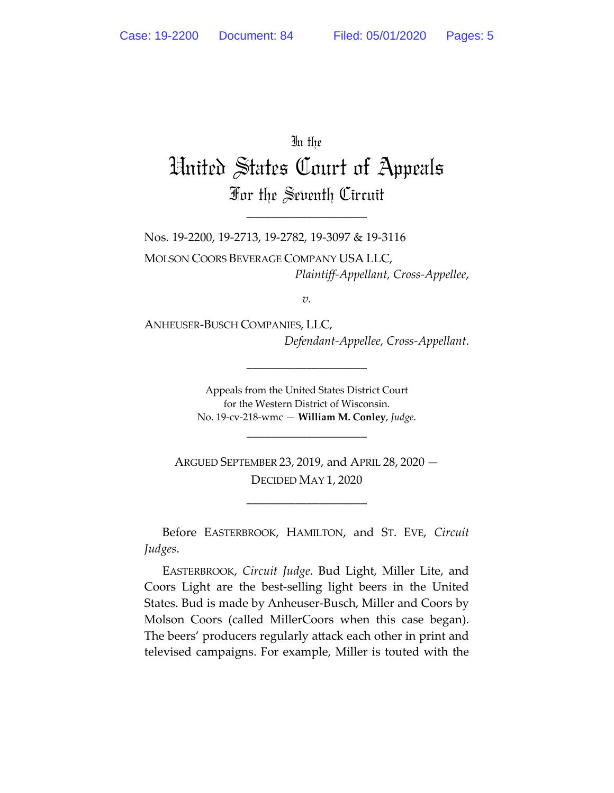In the

## United States Court of Appeals For the Seventh Circuit

\_\_\_\_\_\_\_\_\_\_\_\_\_\_\_\_\_\_\_\_

Nos. 19-2200, 19-2713, 19-2782, 19-3097 & 19-3116 MOLSON COORS BEVERAGE COMPANY USA LLC, *Plaintiff-Appellant, Cross-Appellee*,

*v.*

ANHEUSER-BUSCH COMPANIES, LLC, *Defendant-Appellee, Cross-Appellant*.

\_\_\_\_\_\_\_\_\_\_\_\_\_\_\_\_\_\_\_\_

Appeals from the United States District Court for the Western District of Wisconsin. No. 19-cv-218-wmc — **William M. Conley**, *Judge*.

\_\_\_\_\_\_\_\_\_\_\_\_\_\_\_\_\_\_\_\_

ARGUED SEPTEMBER 23, 2019, and APRIL 28, 2020 — DECIDED MAY 1, 2020

\_\_\_\_\_\_\_\_\_\_\_\_\_\_\_\_\_\_\_\_

Before EASTERBROOK, HAMILTON, and ST. EVE, *Circuit Judges*.

EASTERBROOK, *Circuit Judge*. Bud Light, Miller Lite, and Coors Light are the best-selling light beers in the United States. Bud is made by Anheuser-Busch, Miller and Coors by Molson Coors (called MillerCoors when this case began). The beers' producers regularly attack each other in print and televised campaigns. For example, Miller is touted with the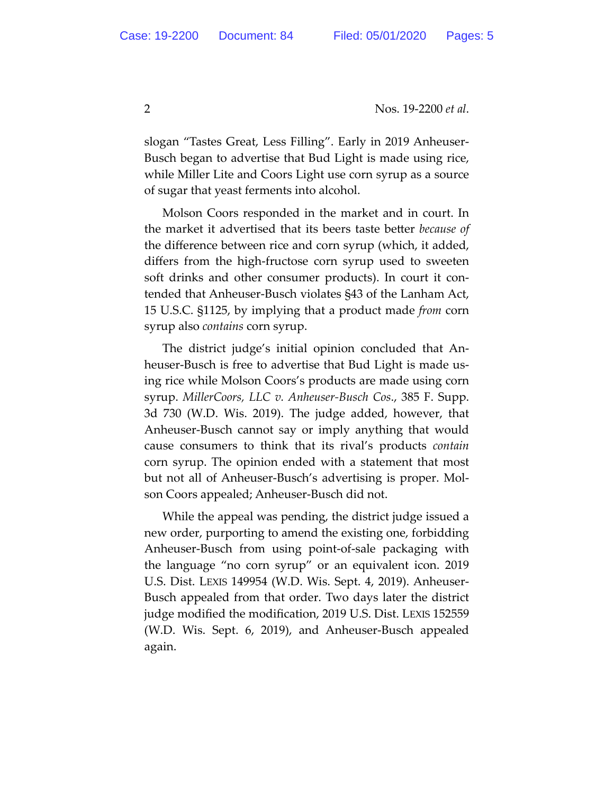slogan "Tastes Great, Less Filling". Early in 2019 Anheuser-Busch began to advertise that Bud Light is made using rice, while Miller Lite and Coors Light use corn syrup as a source of sugar that yeast ferments into alcohol.

Molson Coors responded in the market and in court. In the market it advertised that its beers taste better *because of* the difference between rice and corn syrup (which, it added, differs from the high-fructose corn syrup used to sweeten soft drinks and other consumer products). In court it contended that Anheuser-Busch violates §43 of the Lanham Act, 15 U.S.C. §1125, by implying that a product made *from* corn syrup also *contains* corn syrup.

The district judge's initial opinion concluded that Anheuser-Busch is free to advertise that Bud Light is made using rice while Molson Coors's products are made using corn syrup. *MillerCoors, LLC v. Anheuser-Busch Cos*., 385 F. Supp. 3d 730 (W.D. Wis. 2019). The judge added, however, that Anheuser-Busch cannot say or imply anything that would cause consumers to think that its rival's products *contain* corn syrup. The opinion ended with a statement that most but not all of Anheuser-Busch's advertising is proper. Molson Coors appealed; Anheuser-Busch did not.

While the appeal was pending, the district judge issued a new order, purporting to amend the existing one, forbidding Anheuser-Busch from using point-of-sale packaging with the language "no corn syrup" or an equivalent icon. 2019 U.S. Dist. LEXIS 149954 (W.D. Wis. Sept. 4, 2019). Anheuser-Busch appealed from that order. Two days later the district judge modified the modification, 2019 U.S. Dist. LEXIS 152559 (W.D. Wis. Sept. 6, 2019), and Anheuser-Busch appealed again.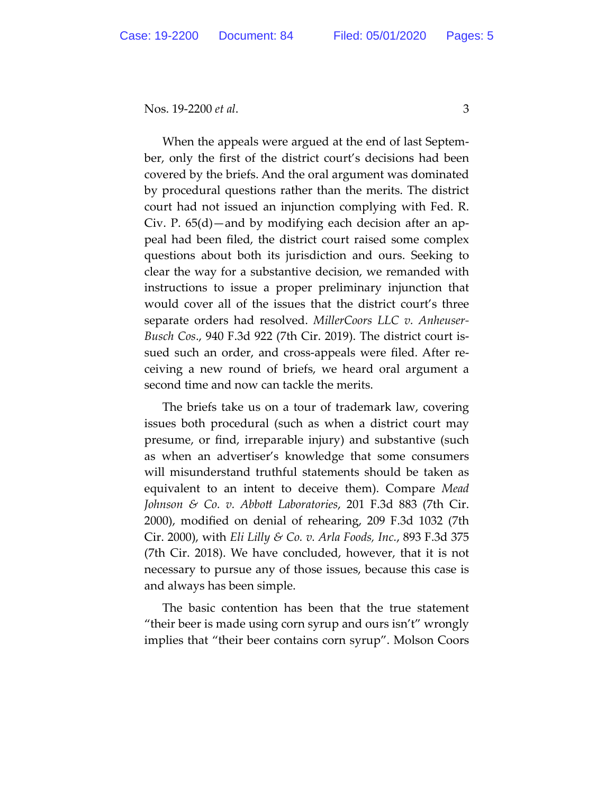When the appeals were argued at the end of last September, only the first of the district court's decisions had been covered by the briefs. And the oral argument was dominated by procedural questions rather than the merits. The district court had not issued an injunction complying with Fed. R. Civ. P. 65(d)—and by modifying each decision after an appeal had been filed, the district court raised some complex questions about both its jurisdiction and ours. Seeking to clear the way for a substantive decision, we remanded with instructions to issue a proper preliminary injunction that would cover all of the issues that the district court's three separate orders had resolved. *MillerCoors LLC v. Anheuser-Busch Cos*., 940 F.3d 922 (7th Cir. 2019). The district court issued such an order, and cross-appeals were filed. After receiving a new round of briefs, we heard oral argument a second time and now can tackle the merits.

The briefs take us on a tour of trademark law, covering issues both procedural (such as when a district court may presume, or find, irreparable injury) and substantive (such as when an advertiser's knowledge that some consumers will misunderstand truthful statements should be taken as equivalent to an intent to deceive them). Compare *Mead Johnson & Co. v. Abbott Laboratories,* 201 F.3d 883 (7th Cir. 2000), modified on denial of rehearing, 209 F.3d 1032 (7th Cir. 2000), with *Eli Lilly & Co. v. Arla Foods, Inc.*, 893 F.3d 375 (7th Cir. 2018). We have concluded, however, that it is not necessary to pursue any of those issues, because this case is and always has been simple.

The basic contention has been that the true statement "their beer is made using corn syrup and ours isn't" wrongly implies that "their beer contains corn syrup". Molson Coors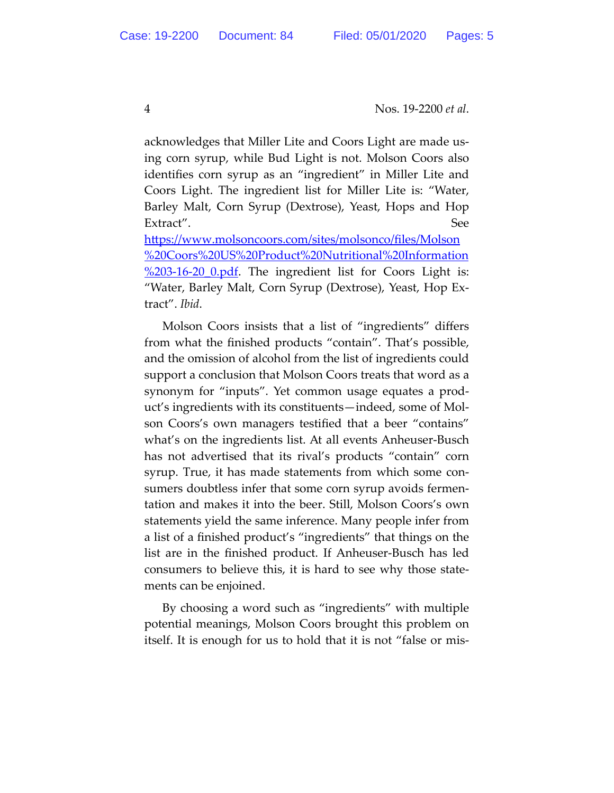acknowledges that Miller Lite and Coors Light are made using corn syrup, while Bud Light is not. Molson Coors also identifies corn syrup as an "ingredient" in Miller Lite and Coors Light. The ingredient list for Miller Lite is: "Water, Barley Malt, Corn Syrup (Dextrose), Yeast, Hops and Hop Extract". See

https://www.molsoncoors.com/sites/molsonco/files/Molson %20Coors%20US%20Product%20Nutritional%20Information  $\frac{\%203-16-20}{\%203-16-20}$  0.pdf. The ingredient list for Coors Light is: "Water, Barley Malt, Corn Syrup (Dextrose), Yeast, Hop Extract". *Ibid*.

Molson Coors insists that a list of "ingredients" differs from what the finished products "contain". That's possible, and the omission of alcohol from the list of ingredients could support a conclusion that Molson Coors treats that word as a synonym for "inputs". Yet common usage equates a product's ingredients with its constituents—indeed, some of Molson Coors's own managers testified that a beer "contains" what's on the ingredients list. At all events Anheuser-Busch has not advertised that its rival's products "contain" corn syrup. True, it has made statements from which some consumers doubtless infer that some corn syrup avoids fermentation and makes it into the beer. Still, Molson Coors's own statements yield the same inference. Many people infer from a list of a finished product's "ingredients" that things on the list are in the finished product. If Anheuser-Busch has led consumers to believe this, it is hard to see why those statements can be enjoined.

By choosing a word such as "ingredients" with multiple potential meanings, Molson Coors brought this problem on itself. It is enough for us to hold that it is not "false or mis-